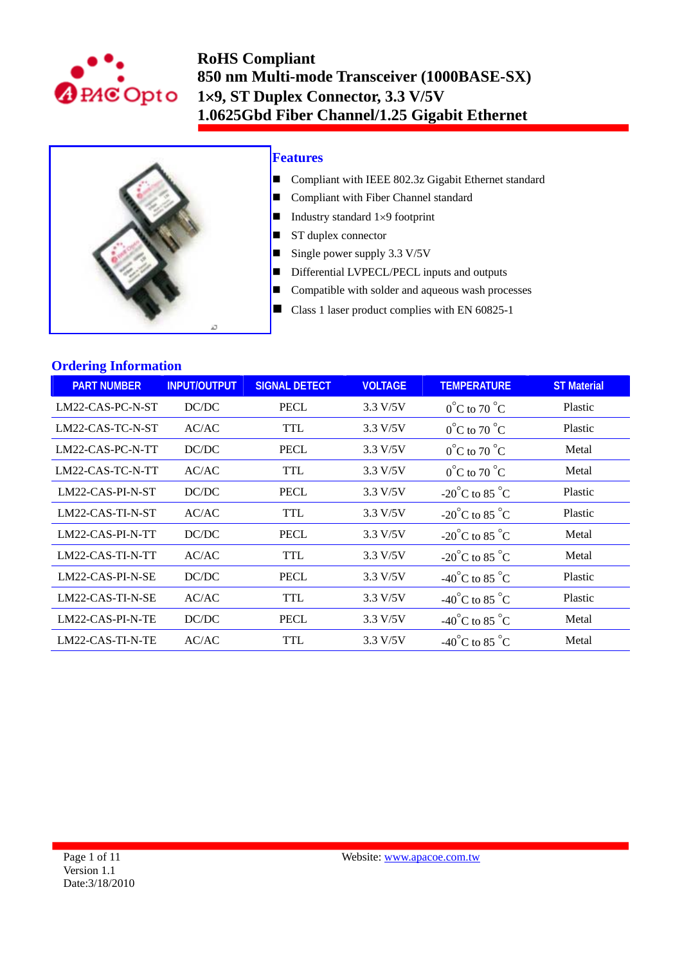



### **Features**

- Compliant with IEEE 802.3z Gigabit Ethernet standard
- Compliant with Fiber Channel standard
- Industry standard  $1\times9$  footprint
- ST duplex connector
- Single power supply  $3.3 \text{ V}/5\text{V}$
- Differential LVPECL/PECL inputs and outputs
- $\blacksquare$  Compatible with solder and aqueous wash processes
- Class 1 laser product complies with EN 60825-1

### **Ordering Information**

| <b>PART NUMBER</b> | <b>INPUT/OUTPUT</b> | <b>SIGNAL DETECT</b> | <b>VOLTAGE</b> | <b>TEMPERATURE</b>                 | <b>ST Material</b> |
|--------------------|---------------------|----------------------|----------------|------------------------------------|--------------------|
| LM22-CAS-PC-N-ST   | DC/DC               | <b>PECL</b>          | 3.3 V/5V       | $0^{\circ}$ C to 70 $^{\circ}$ C   | Plastic            |
| LM22-CAS-TC-N-ST   | AC/AC               | TTL                  | 3.3 V/5V       | $0^{\circ}$ C to 70 $^{\circ}$ C   | Plastic            |
| LM22-CAS-PC-N-TT   | DC/DC               | <b>PECL</b>          | 3.3 V/5V       | $0^{\circ}$ C to 70 $^{\circ}$ C   | Metal              |
| LM22-CAS-TC-N-TT   | AC/AC               | TTL                  | 3.3 V/5V       | $0^{\circ}$ C to 70 $^{\circ}$ C   | Metal              |
| LM22-CAS-PI-N-ST   | DC/DC               | <b>PECL</b>          | 3.3 V/5V       | $-20^{\circ}$ C to 85 $^{\circ}$ C | Plastic            |
| LM22-CAS-TI-N-ST   | AC/AC               | TTL                  | 3.3 V/5V       | $-20^{\circ}$ C to 85 $^{\circ}$ C | Plastic            |
| LM22-CAS-PI-N-TT   | DC/DC               | <b>PECL</b>          | 3.3 V/5V       | $-20^{\circ}$ C to 85 $^{\circ}$ C | Metal              |
| LM22-CAS-TI-N-TT   | AC/AC               | <b>TTL</b>           | 3.3 V/5V       | $-20^{\circ}$ C to 85 $^{\circ}$ C | Metal              |
| LM22-CAS-PI-N-SE   | DC/DC               | <b>PECL</b>          | 3.3 V/5V       | -40°C to 85 °C                     | Plastic            |
| LM22-CAS-TI-N-SE   | AC/AC               | <b>TTL</b>           | 3.3 V/5V       | -40°C to 85 °C                     | Plastic            |
| LM22-CAS-PI-N-TE   | DC/DC               | <b>PECL</b>          | 3.3 V/5V       | -40°C to 85 °C                     | Metal              |
| LM22-CAS-TI-N-TE   | AC/AC               | TTL                  | 3.3 V/5V       | -40°C to 85 °C                     | Metal              |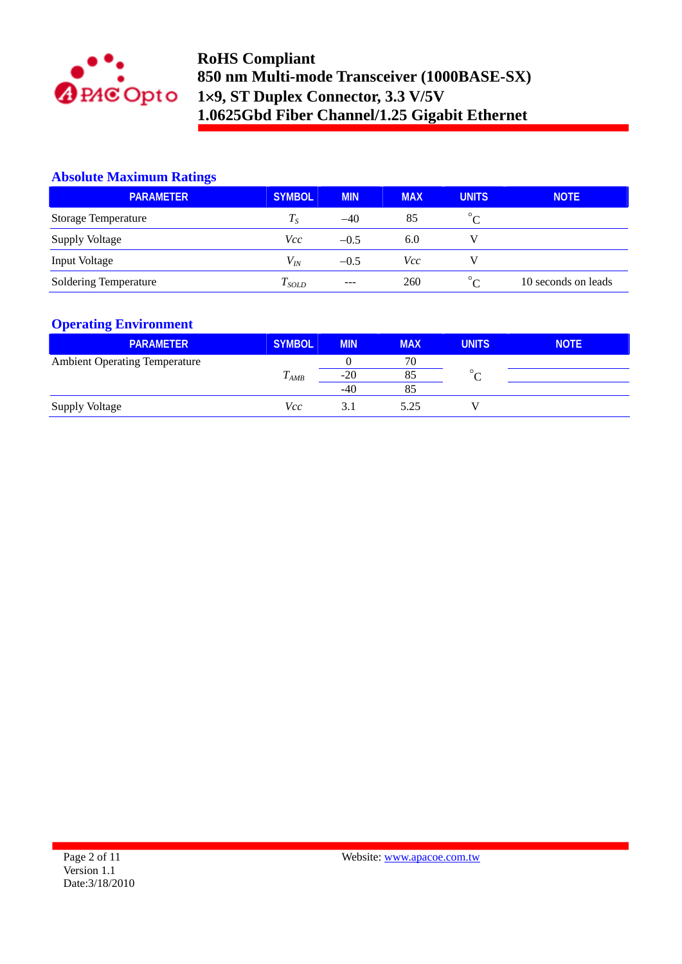

### **Absolute Maximum Ratings**

| <b>PARAMETER</b>             | <b>SYMBOL</b> | <b>MIN</b> | <b>MAX</b> | <b>UNITS</b>          | <b>NOTE</b>         |
|------------------------------|---------------|------------|------------|-----------------------|---------------------|
| <b>Storage Temperature</b>   | $T_S$         | $-40$      | 85         | $\circ$<br>$\sqrt{ }$ |                     |
| <b>Supply Voltage</b>        | <i>Vcc</i>    | $-0.5$     | 6.0        |                       |                     |
| <b>Input Voltage</b>         | $V_{I\!N}$    | $-0.5$     | Vcc        |                       |                     |
| <b>Soldering Temperature</b> | $T_{SOLD}$    | $---$      | 260        | $^{\circ}$ C          | 10 seconds on leads |

## **Operating Environment**

| <b>PARAMETER</b>                     | <b>SYMBOL</b>  | <b>MIN</b> | <b>MAX</b> | <b>UNITS</b> | <b>NOTE</b> |
|--------------------------------------|----------------|------------|------------|--------------|-------------|
| <b>Ambient Operating Temperature</b> |                |            | 70         |              |             |
|                                      | T<br>$I_{AMB}$ | $-20$      | 85         | $\circ$      |             |
|                                      |                | $-40$      | 85         |              |             |
| <b>Supply Voltage</b>                | Vcc            | 3.1        | 5.25       |              |             |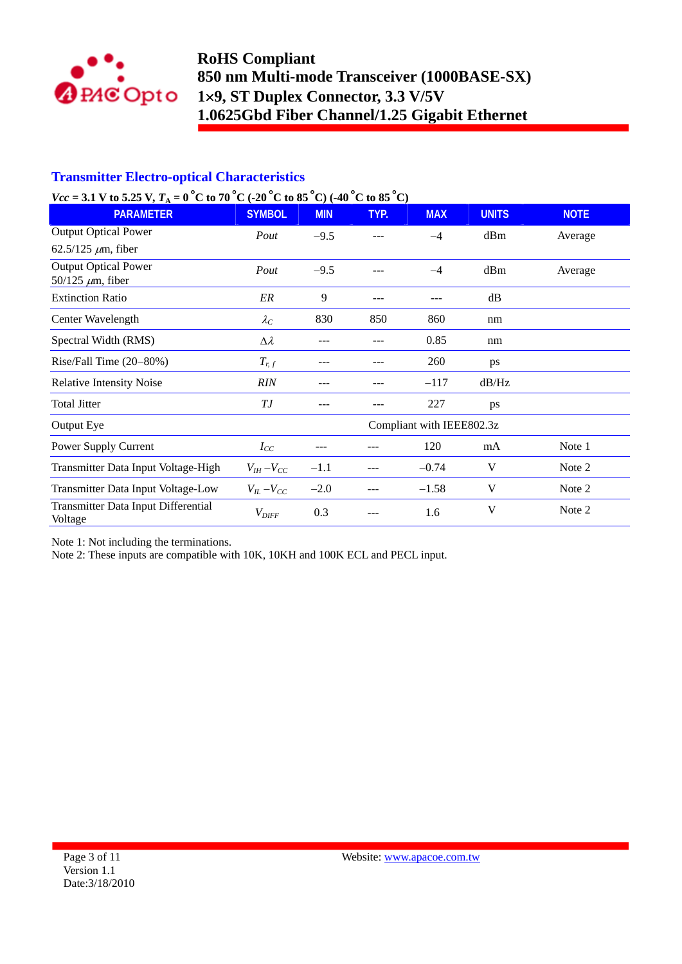

## **Transmitter Electro-optical Characteristics**

## $V_{cc}$  = 3.1 V to 5.25 V<sub>r</sub><sub>A</sub> = 0<sup>o</sup><sub>C</sub> to 70<sup>o</sup><sub>C</sub> (-20<sup>o</sup><sub>C</sub> to 85<sup>o</sup><sub>C</sub>) (-40<sup>o</sup><sub>C</sub> to 85<sup>o</sup>C)

| $\mathcal{L}(\mathcal{L} - \mathcal{L}(\mathcal{L}))$ with $\mathcal{L}(\mathcal{L})$ is $\mathcal{L}(\mathcal{L})$ . The contract of $\mathcal{L}(\mathcal{L})$ is the contract of $\mathcal{L}(\mathcal{L})$ |                     |            |      |                           |              |             |
|----------------------------------------------------------------------------------------------------------------------------------------------------------------------------------------------------------------|---------------------|------------|------|---------------------------|--------------|-------------|
| <b>PARAMETER</b>                                                                                                                                                                                               | <b>SYMBOL</b>       | <b>MIN</b> | TYP. | <b>MAX</b>                | <b>UNITS</b> | <b>NOTE</b> |
| <b>Output Optical Power</b>                                                                                                                                                                                    | Pout                | $-9.5$     |      | $-4$                      | dBm          | Average     |
| 62.5/125 $\mu$ m, fiber                                                                                                                                                                                        |                     |            |      |                           |              |             |
| <b>Output Optical Power</b>                                                                                                                                                                                    | Pout                | $-9.5$     | ---  | $-4$                      | dBm          | Average     |
| 50/125 $\mu$ m, fiber                                                                                                                                                                                          |                     |            |      |                           |              |             |
| <b>Extinction Ratio</b>                                                                                                                                                                                        | ER                  | 9          | ---  |                           | dB           |             |
| Center Wavelength                                                                                                                                                                                              | $\lambda_C$         | 830        | 850  | 860                       | nm           |             |
| Spectral Width (RMS)                                                                                                                                                                                           | $\Delta \lambda$    |            |      | 0.85                      | nm           |             |
| Rise/Fall Time $(20-80%)$                                                                                                                                                                                      | $T_{r,f}$           |            |      | 260                       | ps           |             |
| <b>Relative Intensity Noise</b>                                                                                                                                                                                | <b>RIN</b>          | ---        | ---  | $-117$                    | dB/Hz        |             |
| <b>Total Jitter</b>                                                                                                                                                                                            | ТJ                  |            | ---  | 227                       | ps           |             |
| Output Eye                                                                                                                                                                                                     |                     |            |      | Compliant with IEEE802.3z |              |             |
| Power Supply Current                                                                                                                                                                                           | $I_{CC}$            |            |      | 120                       | mA           | Note 1      |
| Transmitter Data Input Voltage-High                                                                                                                                                                            | $V_{IH}-V_{CC}$     | $-1.1$     |      | $-0.74$                   | V            | Note 2      |
| Transmitter Data Input Voltage-Low                                                                                                                                                                             | $V_{IL}$ – $V_{CC}$ | $-2.0$     |      | $-1.58$                   | V            | Note 2      |
| Transmitter Data Input Differential<br>Voltage                                                                                                                                                                 | $V_{\mathit{DIFF}}$ | 0.3        |      | 1.6                       | V            | Note 2      |

Note 1: Not including the terminations.

Note 2: These inputs are compatible with 10K, 10KH and 100K ECL and PECL input.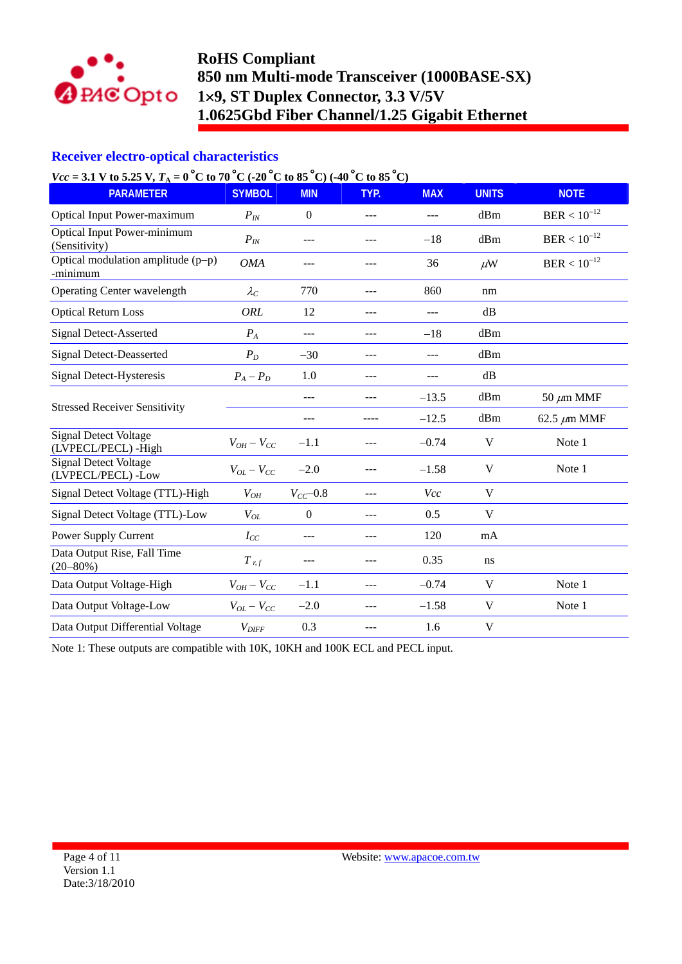

## **Receiver electro-optical characteristics**

# $V_{cc}$  = 3.1 V to 5.25 V<sub>*T<sub>b</sub></sub>* = 0<sup>o</sup>C to 70<sup>o</sup>C (-20<sup>o</sup>C to 85<sup>o</sup>C) (-40<sup>o</sup>C to 85<sup>o</sup>C)</sub>

| $V(U - 3.1)$ v to $3.23$ v, $I_A - 0$ C to $70$ C (-20 C to $83$ C) (-40 C to $83$ C) |                   |                  |         |            |               |                  |
|---------------------------------------------------------------------------------------|-------------------|------------------|---------|------------|---------------|------------------|
| <b>PARAMETER</b>                                                                      | <b>SYMBOL</b>     | <b>MIN</b>       | TYP.    | <b>MAX</b> | <b>UNITS</b>  | <b>NOTE</b>      |
| <b>Optical Input Power-maximum</b>                                                    | $P_{IN}$          | $\boldsymbol{0}$ | ---     | ---        | dBm           | $BER < 10^{-12}$ |
| <b>Optical Input Power-minimum</b><br>(Sensitivity)                                   | $P_{IN}$          | ---              | $---$   | $-18$      | dBm           | $BER < 10^{-12}$ |
| Optical modulation amplitude $(p-p)$<br>-minimum                                      | <b>OMA</b>        | ---              | ---     | 36         | $\mu$ W       | $BER < 10^{-12}$ |
| Operating Center wavelength                                                           | $\lambda_C$       | 770              | $---$   | 860        | nm            |                  |
| <b>Optical Return Loss</b>                                                            | ORL               | 12               | ---     | ---        | $\mathrm{dB}$ |                  |
| <b>Signal Detect-Asserted</b>                                                         | $P_{A}$           | ---              | $- - -$ | $-18$      | dBm           |                  |
| <b>Signal Detect-Deasserted</b>                                                       | $P_D$             | $-30$            | ---     | ---        | dBm           |                  |
| Signal Detect-Hysteresis                                                              | $P_A - P_D$       | 1.0              | $---$   | ---        | dB            |                  |
|                                                                                       |                   | ---              |         | $-13.5$    | dBm           | 50 $\mu$ m MMF   |
| <b>Stressed Receiver Sensitivity</b>                                                  |                   | ---              | ----    | $-12.5$    | dBm           | 62.5 $\mu$ m MMF |
| <b>Signal Detect Voltage</b><br>(LVPECL/PECL) - High                                  | $V_{OH} - V_{CC}$ | $-1.1$           | ---     | $-0.74$    | V             | Note 1           |
| <b>Signal Detect Voltage</b><br>(LVPECL/PECL) -Low                                    | $V_{OL}-V_{CC}$   | $-2.0$           | ---     | $-1.58$    | V             | Note 1           |
| Signal Detect Voltage (TTL)-High                                                      | $V_{OH}$          | $V_{CC}$ -0.8    | $---$   | Vcc        | V             |                  |
| Signal Detect Voltage (TTL)-Low                                                       | $V_{OL}$          | $\theta$         | ---     | 0.5        | V             |                  |
| Power Supply Current                                                                  | $I_{CC}$          | $---$            | $---$   | 120        | mA            |                  |
| Data Output Rise, Fall Time<br>$(20 - 80\%)$                                          | $T_{r,f}$         | ---              | ---     | 0.35       | ns            |                  |
| Data Output Voltage-High                                                              | $V_{OH} - V_{CC}$ | $-1.1$           | $---$   | $-0.74$    | V             | Note 1           |
| Data Output Voltage-Low                                                               | $V_{OL} - V_{CC}$ | $-2.0$           | ---     | $-1.58$    | V             | Note 1           |
| Data Output Differential Voltage                                                      | $V_{\text{DIFF}}$ | 0.3              | ---     | 1.6        | V             |                  |

Note 1: These outputs are compatible with 10K, 10KH and 100K ECL and PECL input.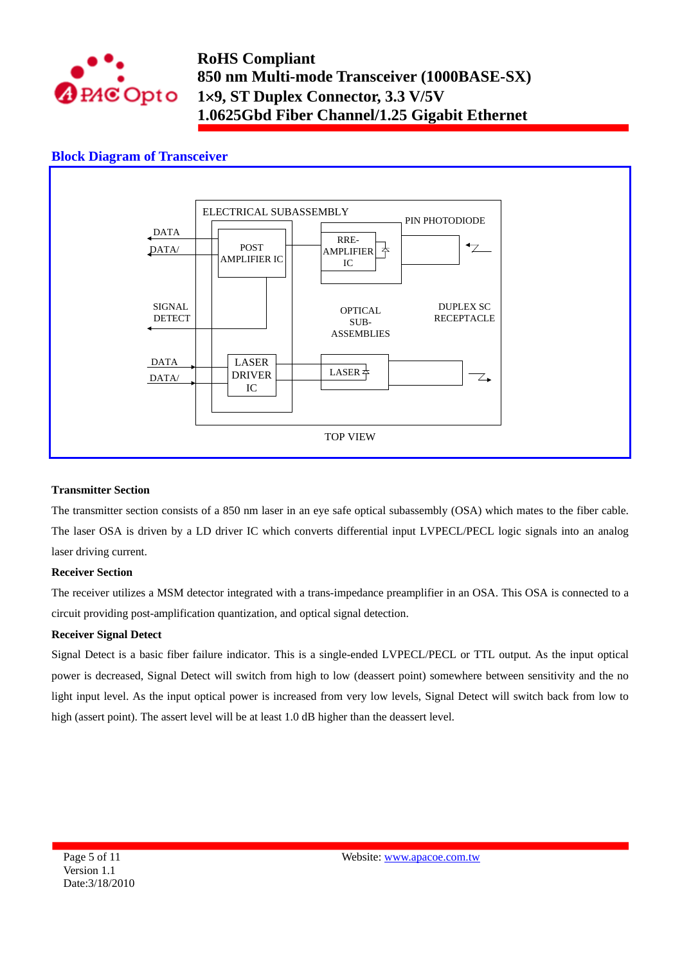

## **Block Diagram of Transceiver**



#### **Transmitter Section**

The transmitter section consists of a 850 nm laser in an eye safe optical subassembly (OSA) which mates to the fiber cable. The laser OSA is driven by a LD driver IC which converts differential input LVPECL/PECL logic signals into an analog laser driving current.

#### **Receiver Section**

The receiver utilizes a MSM detector integrated with a trans-impedance preamplifier in an OSA. This OSA is connected to a circuit providing post-amplification quantization, and optical signal detection.

#### **Receiver Signal Detect**

Signal Detect is a basic fiber failure indicator. This is a single-ended LVPECL/PECL or TTL output. As the input optical power is decreased, Signal Detect will switch from high to low (deassert point) somewhere between sensitivity and the no light input level. As the input optical power is increased from very low levels, Signal Detect will switch back from low to high (assert point). The assert level will be at least 1.0 dB higher than the deassert level.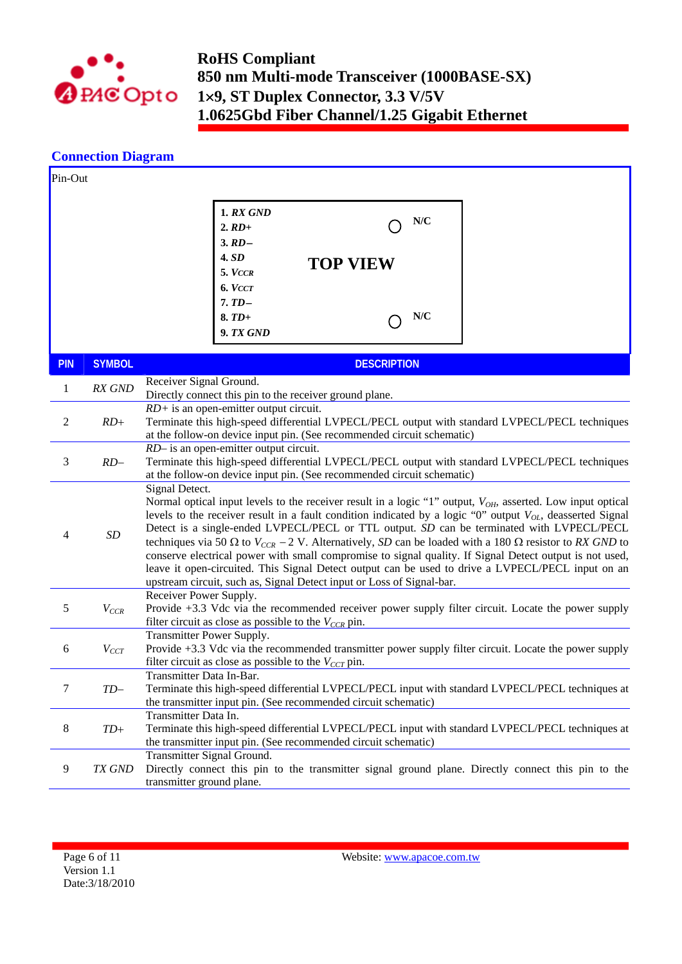

## **Connection Diagram**

| Pin-Out    |               |                                                                                                                                                                                                                                                                                                                                                                                                                                                                                                                                                                                                                                                                                                                                                                         |  |  |  |  |  |
|------------|---------------|-------------------------------------------------------------------------------------------------------------------------------------------------------------------------------------------------------------------------------------------------------------------------------------------------------------------------------------------------------------------------------------------------------------------------------------------------------------------------------------------------------------------------------------------------------------------------------------------------------------------------------------------------------------------------------------------------------------------------------------------------------------------------|--|--|--|--|--|
|            |               | <b>1. RX GND</b><br>N/C<br>$2. RD$ +<br>$3. RD -$<br>4.SD<br><b>TOP VIEW</b><br>$5.$ $VccR$<br>6. VCCT<br>$7.TD-$<br>N/C<br>$8. TD+$<br>9. TX GND                                                                                                                                                                                                                                                                                                                                                                                                                                                                                                                                                                                                                       |  |  |  |  |  |
| <b>PIN</b> | <b>SYMBOL</b> | <b>DESCRIPTION</b>                                                                                                                                                                                                                                                                                                                                                                                                                                                                                                                                                                                                                                                                                                                                                      |  |  |  |  |  |
| 1          | RX GND        | Receiver Signal Ground.                                                                                                                                                                                                                                                                                                                                                                                                                                                                                                                                                                                                                                                                                                                                                 |  |  |  |  |  |
| 2          | $RD+$         | Directly connect this pin to the receiver ground plane.<br>$RD+$ is an open-emitter output circuit.<br>Terminate this high-speed differential LVPECL/PECL output with standard LVPECL/PECL techniques<br>at the follow-on device input pin. (See recommended circuit schematic)                                                                                                                                                                                                                                                                                                                                                                                                                                                                                         |  |  |  |  |  |
| 3          | $RD-$         | $RD$ - is an open-emitter output circuit.<br>Terminate this high-speed differential LVPECL/PECL output with standard LVPECL/PECL techniques<br>at the follow-on device input pin. (See recommended circuit schematic)                                                                                                                                                                                                                                                                                                                                                                                                                                                                                                                                                   |  |  |  |  |  |
| 4          | SD            | Signal Detect.<br>Normal optical input levels to the receiver result in a logic "1" output, $V_{OH}$ , asserted. Low input optical<br>levels to the receiver result in a fault condition indicated by a logic "0" output $V_{OL}$ , deasserted Signal<br>Detect is a single-ended LVPECL/PECL or TTL output. SD can be terminated with LVPECL/PECL<br>techniques via 50 $\Omega$ to $V_{CCR}$ – 2 V. Alternatively, SD can be loaded with a 180 $\Omega$ resistor to RX GND to<br>conserve electrical power with small compromise to signal quality. If Signal Detect output is not used,<br>leave it open-circuited. This Signal Detect output can be used to drive a LVPECL/PECL input on an<br>upstream circuit, such as, Signal Detect input or Loss of Signal-bar. |  |  |  |  |  |
| 5          | $V_{CCR}$     | Receiver Power Supply.<br>Provide +3.3 Vdc via the recommended receiver power supply filter circuit. Locate the power supply<br>filter circuit as close as possible to the $V_{CCR}$ pin.                                                                                                                                                                                                                                                                                                                                                                                                                                                                                                                                                                               |  |  |  |  |  |
| 6          | $V_{CCT}$     | Transmitter Power Supply.<br>Provide +3.3 Vdc via the recommended transmitter power supply filter circuit. Locate the power supply<br>filter circuit as close as possible to the $V_{CCT}$ pin.                                                                                                                                                                                                                                                                                                                                                                                                                                                                                                                                                                         |  |  |  |  |  |
| 7          | $TD-$         | Transmitter Data In-Bar.<br>Terminate this high-speed differential LVPECL/PECL input with standard LVPECL/PECL techniques at<br>the transmitter input pin. (See recommended circuit schematic)                                                                                                                                                                                                                                                                                                                                                                                                                                                                                                                                                                          |  |  |  |  |  |
| 8          | $TD+$         | Transmitter Data In.<br>Terminate this high-speed differential LVPECL/PECL input with standard LVPECL/PECL techniques at<br>the transmitter input pin. (See recommended circuit schematic)                                                                                                                                                                                                                                                                                                                                                                                                                                                                                                                                                                              |  |  |  |  |  |
| 9          | TX GND        | Transmitter Signal Ground.<br>Directly connect this pin to the transmitter signal ground plane. Directly connect this pin to the<br>transmitter ground plane.                                                                                                                                                                                                                                                                                                                                                                                                                                                                                                                                                                                                           |  |  |  |  |  |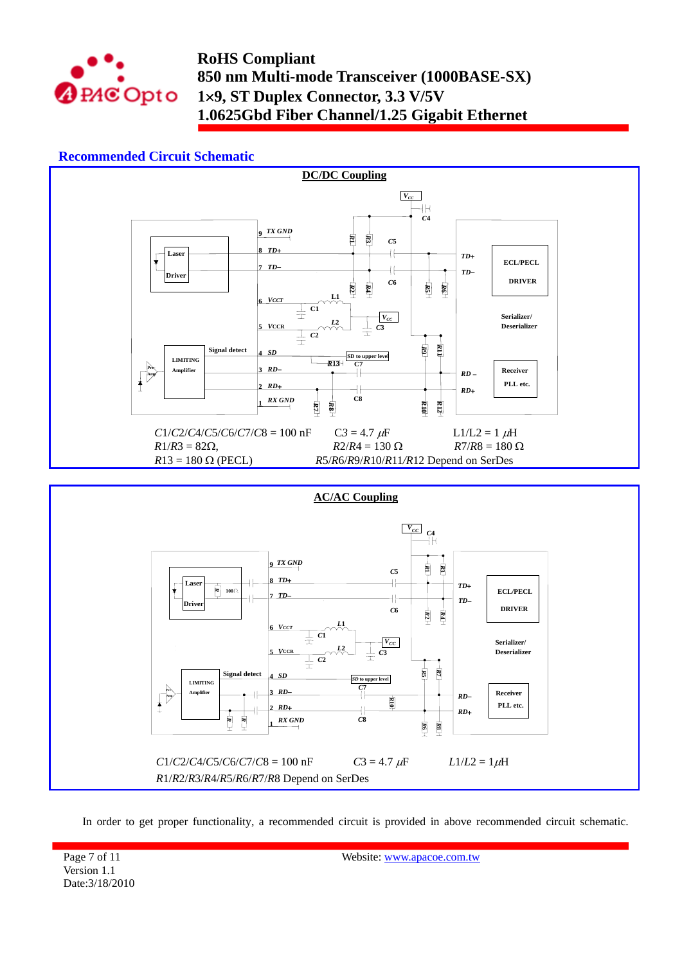

## **Recommended Circuit Schematic**



In order to get proper functionality, a recommended circuit is provided in above recommended circuit schematic.

Page 7 of 11 Version 1.1 Date:3/18/2010 Website: www.apacoe.com.tw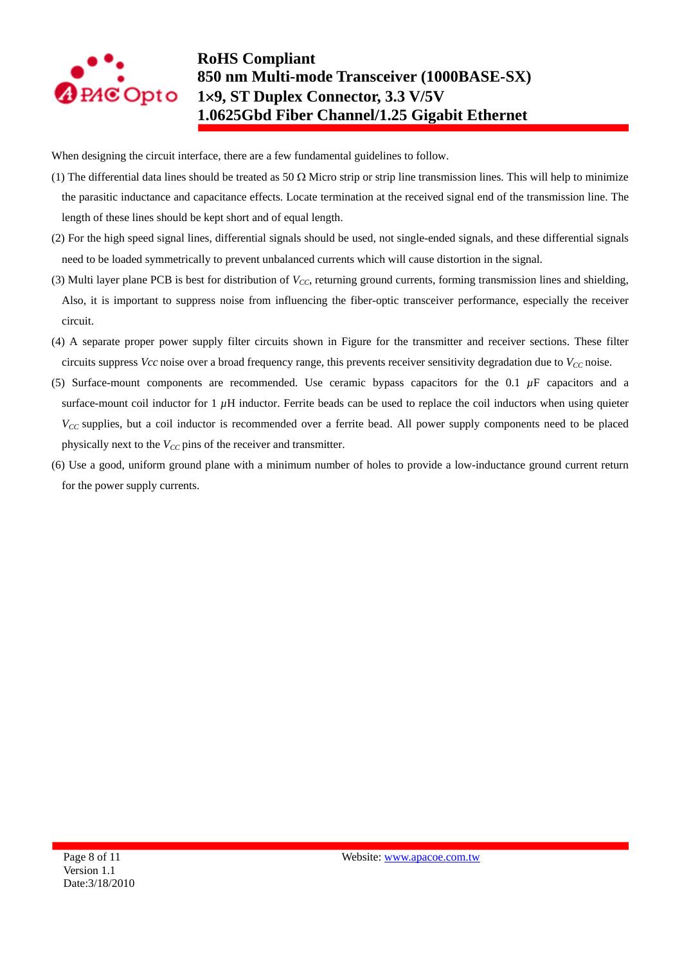

When designing the circuit interface, there are a few fundamental guidelines to follow.

- (1) The differential data lines should be treated as 50  $\Omega$  Micro strip or strip line transmission lines. This will help to minimize the parasitic inductance and capacitance effects. Locate termination at the received signal end of the transmission line. The length of these lines should be kept short and of equal length.
- (2) For the high speed signal lines, differential signals should be used, not single-ended signals, and these differential signals need to be loaded symmetrically to prevent unbalanced currents which will cause distortion in the signal.
- (3) Multi layer plane PCB is best for distribution of *VCC*, returning ground currents, forming transmission lines and shielding, Also, it is important to suppress noise from influencing the fiber-optic transceiver performance, especially the receiver circuit.
- (4) A separate proper power supply filter circuits shown in Figure for the transmitter and receiver sections. These filter circuits suppress *Vcc* noise over a broad frequency range, this prevents receiver sensitivity degradation due to  $V_{CC}$  noise.
- (5) Surface-mount components are recommended. Use ceramic bypass capacitors for the  $0.1 \mu$ F capacitors and a surface-mount coil inductor for  $1 \mu$ H inductor. Ferrite beads can be used to replace the coil inductors when using quieter *V<sub>CC</sub>* supplies, but a coil inductor is recommended over a ferrite bead. All power supply components need to be placed physically next to the  $V_{CC}$  pins of the receiver and transmitter.
- (6) Use a good, uniform ground plane with a minimum number of holes to provide a low-inductance ground current return for the power supply currents.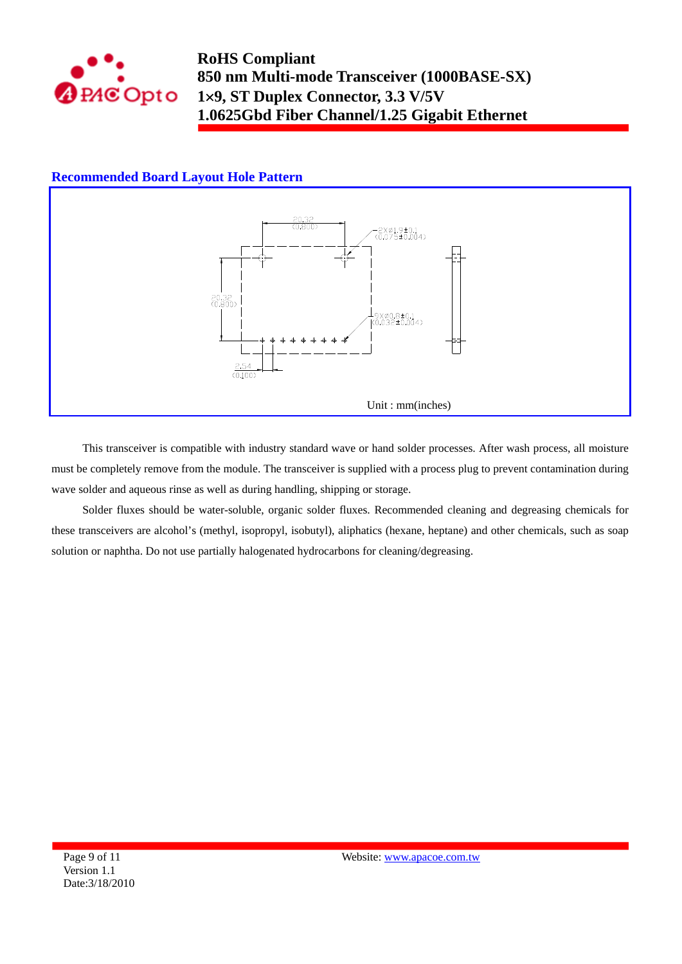

### **Recommended Board Layout Hole Pattern**



This transceiver is compatible with industry standard wave or hand solder processes. After wash process, all moisture must be completely remove from the module. The transceiver is supplied with a process plug to prevent contamination during wave solder and aqueous rinse as well as during handling, shipping or storage.

Solder fluxes should be water-soluble, organic solder fluxes. Recommended cleaning and degreasing chemicals for these transceivers are alcohol's (methyl, isopropyl, isobutyl), aliphatics (hexane, heptane) and other chemicals, such as soap solution or naphtha. Do not use partially halogenated hydrocarbons for cleaning/degreasing.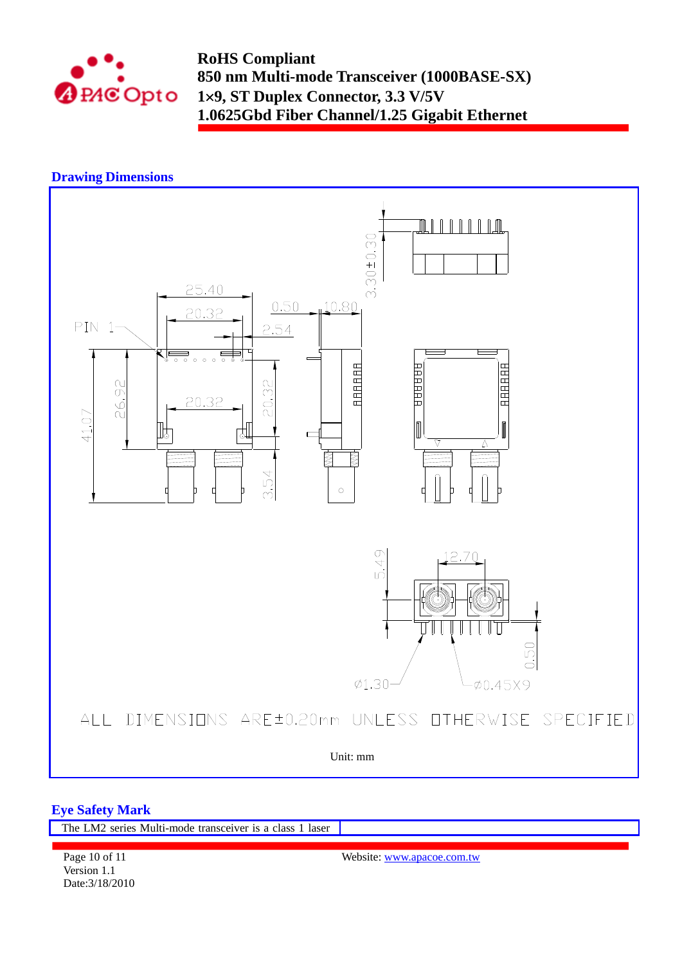

## **Drawing Dimensions**



### **Eye Safety Mark**

Date:3/18/2010

| The LM2 series Multi-mode transceiver is a class 1 laser |                            |
|----------------------------------------------------------|----------------------------|
|                                                          |                            |
| Page 10 of 11                                            | Website: www.apacoe.com.tw |
| Version 1.1                                              |                            |